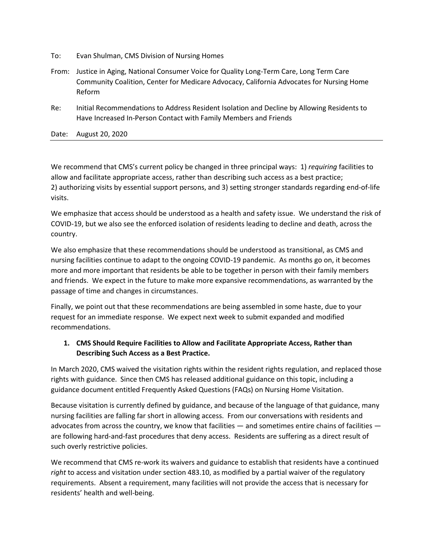- To: Evan Shulman, CMS Division of Nursing Homes
- From: Justice in Aging, National Consumer Voice for Quality Long-Term Care, Long Term Care Community Coalition, Center for Medicare Advocacy, California Advocates for Nursing Home Reform
- Re: Initial Recommendations to Address Resident Isolation and Decline by Allowing Residents to Have Increased In-Person Contact with Family Members and Friends

Date: August 20, 2020

We recommend that CMS's current policy be changed in three principal ways: 1) *requiring* facilities to allow and facilitate appropriate access, rather than describing such access as a best practice; 2) authorizing visits by essential support persons, and 3) setting stronger standards regarding end-of-life visits.

We emphasize that access should be understood as a health and safety issue. We understand the risk of COVID-19, but we also see the enforced isolation of residents leading to decline and death, across the country.

We also emphasize that these recommendations should be understood as transitional, as CMS and nursing facilities continue to adapt to the ongoing COVID-19 pandemic. As months go on, it becomes more and more important that residents be able to be together in person with their family members and friends. We expect in the future to make more expansive recommendations, as warranted by the passage of time and changes in circumstances.

Finally, we point out that these recommendations are being assembled in some haste, due to your request for an immediate response. We expect next week to submit expanded and modified recommendations.

## **1. CMS Should Require Facilities to Allow and Facilitate Appropriate Access, Rather than Describing Such Access as a Best Practice.**

In March 2020, CMS waived the visitation rights within the resident rights regulation, and replaced those rights with guidance. Since then CMS has released additional guidance on this topic, including a guidance document entitled Frequently Asked Questions (FAQs) on Nursing Home Visitation.

Because visitation is currently defined by guidance, and because of the language of that guidance, many nursing facilities are falling far short in allowing access. From our conversations with residents and advocates from across the country, we know that facilities — and sometimes entire chains of facilities are following hard-and-fast procedures that deny access. Residents are suffering as a direct result of such overly restrictive policies.

We recommend that CMS re-work its waivers and guidance to establish that residents have a continued *right* to access and visitation under section 483.10, as modified by a partial waiver of the regulatory requirements. Absent a requirement, many facilities will not provide the access that is necessary for residents' health and well-being.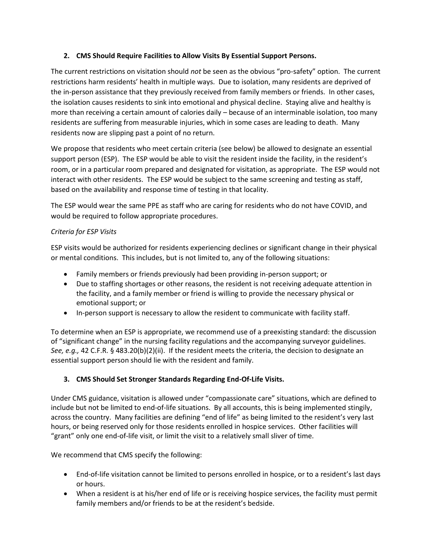## **2. CMS Should Require Facilities to Allow Visits By Essential Support Persons.**

The current restrictions on visitation should *not* be seen as the obvious "pro-safety" option. The current restrictions harm residents' health in multiple ways. Due to isolation, many residents are deprived of the in-person assistance that they previously received from family members or friends. In other cases, the isolation causes residents to sink into emotional and physical decline. Staying alive and healthy is more than receiving a certain amount of calories daily – because of an interminable isolation, too many residents are suffering from measurable injuries, which in some cases are leading to death. Many residents now are slipping past a point of no return.

We propose that residents who meet certain criteria (see below) be allowed to designate an essential support person (ESP). The ESP would be able to visit the resident inside the facility, in the resident's room, or in a particular room prepared and designated for visitation, as appropriate. The ESP would not interact with other residents. The ESP would be subject to the same screening and testing as staff, based on the availability and response time of testing in that locality.

The ESP would wear the same PPE as staff who are caring for residents who do not have COVID, and would be required to follow appropriate procedures.

## *Criteria for ESP Visits*

ESP visits would be authorized for residents experiencing declines or significant change in their physical or mental conditions. This includes, but is not limited to, any of the following situations:

- Family members or friends previously had been providing in-person support; or
- Due to staffing shortages or other reasons, the resident is not receiving adequate attention in the facility, and a family member or friend is willing to provide the necessary physical or emotional support; or
- In-person support is necessary to allow the resident to communicate with facility staff.

To determine when an ESP is appropriate, we recommend use of a preexisting standard: the discussion of "significant change" in the nursing facility regulations and the accompanying surveyor guidelines. *See, e.g.,* 42 C.F.R. § 483.20(b)(2)(ii). If the resident meets the criteria, the decision to designate an essential support person should lie with the resident and family.

## **3. CMS Should Set Stronger Standards Regarding End-Of-Life Visits.**

Under CMS guidance, visitation is allowed under "compassionate care" situations, which are defined to include but not be limited to end-of-life situations. By all accounts, this is being implemented stingily, across the country. Many facilities are defining "end of life" as being limited to the resident's very last hours, or being reserved only for those residents enrolled in hospice services. Other facilities will "grant" only one end-of-life visit, or limit the visit to a relatively small sliver of time.

We recommend that CMS specify the following:

- End-of-life visitation cannot be limited to persons enrolled in hospice, or to a resident's last days or hours.
- When a resident is at his/her end of life or is receiving hospice services, the facility must permit family members and/or friends to be at the resident's bedside.